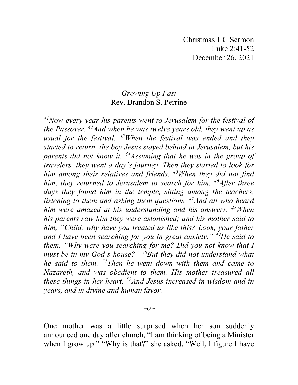Christmas 1 C Sermon Luke 2:41-52 December 26, 2021

## *Growing Up Fast* Rev. Brandon S. Perrine

*41Now every year his parents went to Jerusalem for the festival of the Passover. 42And when he was twelve years old, they went up as usual for the festival. 43When the festival was ended and they started to return, the boy Jesus stayed behind in Jerusalem, but his parents did not know it. 44Assuming that he was in the group of travelers, they went a day's journey. Then they started to look for him among their relatives and friends. 45When they did not find him, they returned to Jerusalem to search for him. 46After three days they found him in the temple, sitting among the teachers, listening to them and asking them questions. 47And all who heard him were amazed at his understanding and his answers. 48When his parents saw him they were astonished; and his mother said to him, "Child, why have you treated us like this? Look, your father and I have been searching for you in great anxiety." 49He said to them, "Why were you searching for me? Did you not know that I must be in my God's house?" 50But they did not understand what he said to them. 51Then he went down with them and came to Nazareth, and was obedient to them. His mother treasured all these things in her heart. 52And Jesus increased in wisdom and in years, and in divine and human favor.*

One mother was a little surprised when her son suddenly announced one day after church, "I am thinking of being a Minister when I grow up." "Why is that?" she asked. "Well, I figure I have

 $\sim$ *o* $\sim$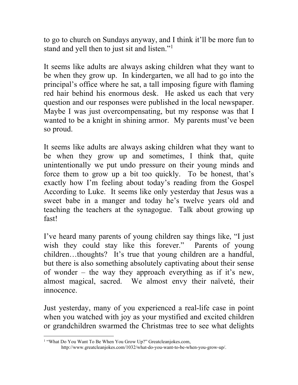to go to church on Sundays anyway, and I think it'll be more fun to stand and yell then to just sit and listen."[1](#page-1-0)

It seems like adults are always asking children what they want to be when they grow up. In kindergarten, we all had to go into the principal's office where he sat, a tall imposing figure with flaming red hair behind his enormous desk. He asked us each that very question and our responses were published in the local newspaper. Maybe I was just overcompensating, but my response was that I wanted to be a knight in shining armor. My parents must've been so proud.

It seems like adults are always asking children what they want to be when they grow up and sometimes, I think that, quite unintentionally we put undo pressure on their young minds and force them to grow up a bit too quickly. To be honest, that's exactly how I'm feeling about today's reading from the Gospel According to Luke. It seems like only yesterday that Jesus was a sweet babe in a manger and today he's twelve years old and teaching the teachers at the synagogue. Talk about growing up fast!

I've heard many parents of young children say things like, "I just wish they could stay like this forever." Parents of young children…thoughts? It's true that young children are a handful, but there is also something absolutely captivating about their sense of wonder – the way they approach everything as if it's new, almost magical, sacred. We almost envy their naïveté, their innocence.

Just yesterday, many of you experienced a real-life case in point when you watched with joy as your mystified and excited children or grandchildren swarmed the Christmas tree to see what delights

<span id="page-1-0"></span><sup>&</sup>lt;sup>1</sup> "What Do You Want To Be When You Grow Up?" Greatcleanjokes.com,

http://www.greatcleanjokes.com/1032/what-do-you-want-to-be-when-you-grow-up/.